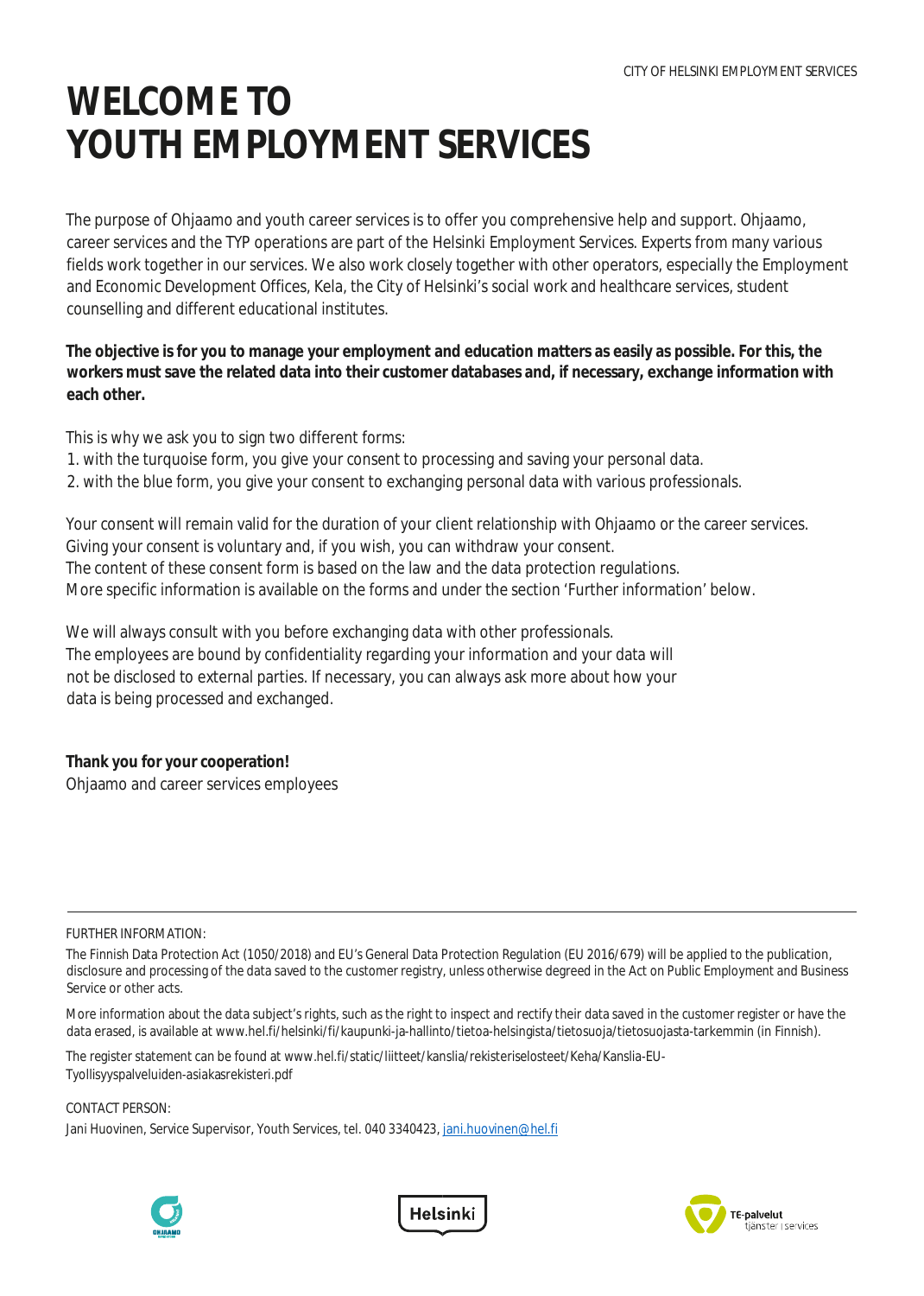# **WELCOME TO YOUTH EMPLOYMENT SERVICES**

The purpose of Ohjaamo and youth career services is to offer you comprehensive help and support. Ohjaamo, career services and the TYP operations are part of the Helsinki Employment Services. Experts from many various fields work together in our services. We also work closely together with other operators, especially the Employment and Economic Development Offices, Kela, the City of Helsinki's social work and healthcare services, student counselling and different educational institutes.

**The objective is for you to manage your employment and education matters as easily as possible. For this, the workers must save the related data into their customer databases and, if necessary, exchange information with each other.**

This is why we ask you to sign two different forms:

- 1. with the turquoise form, you give your consent to processing and saving your personal data.
- 2. with the blue form, you give your consent to exchanging personal data with various professionals.

Your consent will remain valid for the duration of your client relationship with Ohjaamo or the career services. Giving your consent is voluntary and, if you wish, you can withdraw your consent. The content of these consent form is based on the law and the data protection regulations. More specific information is available on the forms and under the section 'Further information' below.

We will always consult with you before exchanging data with other professionals. The employees are bound by confidentiality regarding your information and your data will not be disclosed to external parties. If necessary, you can always ask more about how your data is being processed and exchanged.

**Thank you for your cooperation!** Ohjaamo and career services employees

#### FURTHER INFORMATION:

More information about the data subject's rights, such as the right to inspect and rectify their data saved in the customer register or have the data erased, is available at www.hel.fi/helsinki/fi/kaupunki-ja-hallinto/tietoa-helsingista/tietosuoja/tietosuojasta-tarkemmin (in Finnish).

The register statement can be found at www.hel.fi/static/liitteet/kanslia/rekisteriselosteet/Keha/Kanslia-EU-Tyollisyyspalveluiden-asiakasrekisteri.pdf

CONTACT PERSON:

Jani Huovinen, Service Supervisor, Youth Services, tel. 040 3340423, jani.huovinen@hel.fi







The Finnish Data Protection Act (1050/2018) and EU's General Data Protection Regulation (EU 2016/679) will be applied to the publication, disclosure and processing of the data saved to the customer registry, unless otherwise degreed in the Act on Public Employment and Business Service or other acts.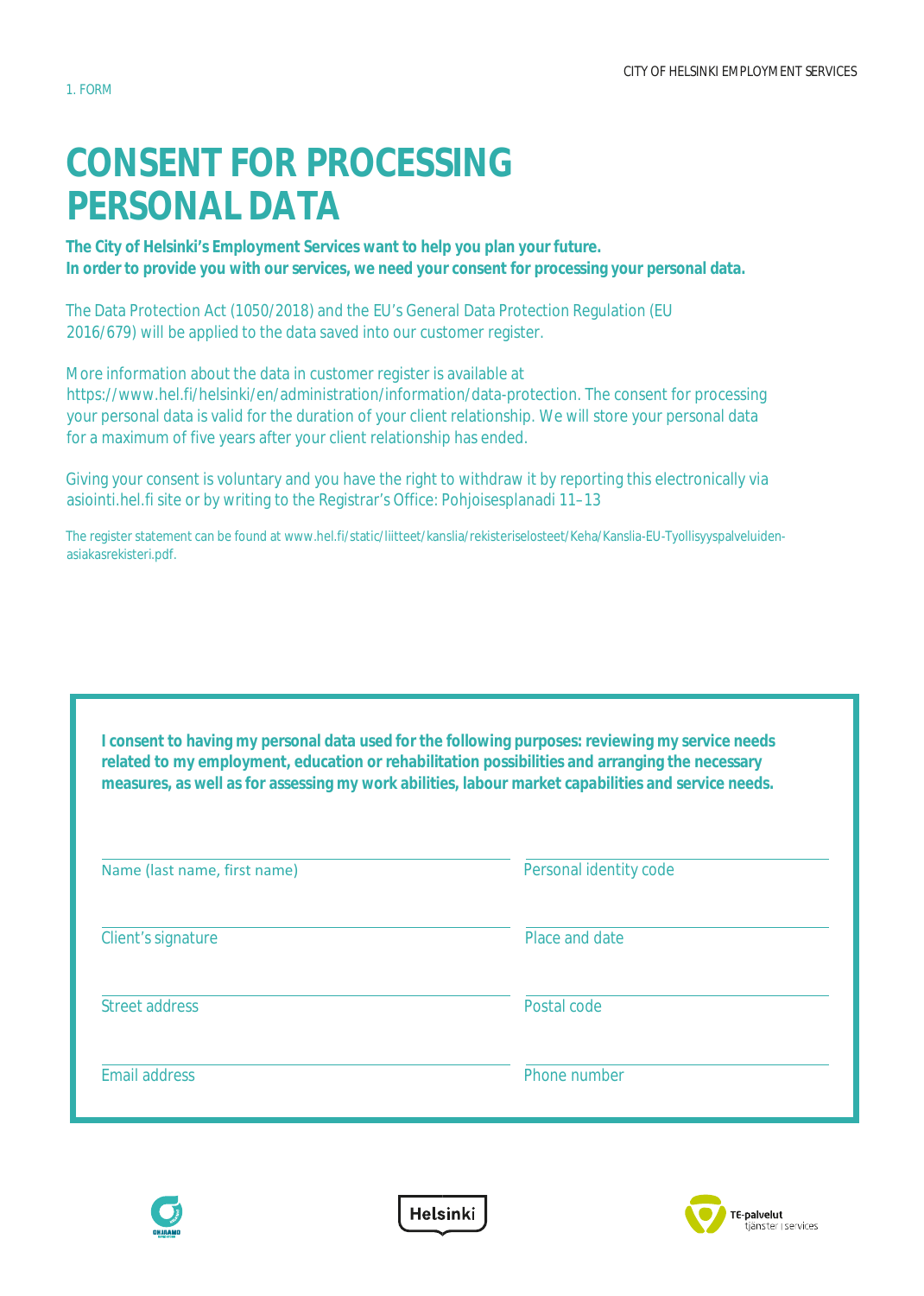# **CONSENT FOR PROCESSING PERSONAL DATA**

**The City of Helsinki's Employment Services want to help you plan your future. In order to provide you with our services, we need your consent for processing your personal data.**

The Data Protection Act (1050/2018) and the EU's General Data Protection Regulation (EU 2016/679) will be applied to the data saved into our customer register.

More information about the data in customer register is available at https://www.hel.fi/helsinki/en/administration/information/data-protection. The consent for processing your personal data is valid for the duration of your client relationship. We will store your personal data for a maximum of five years after your client relationship has ended.

Giving your consent is voluntary and you have the right to withdraw it by reporting this electronically via asiointi.hel.fi site or by writing to the Registrar's Office: Pohjoisesplanadi 11–13

The register statement can be found at www.hel.fi/static/liitteet/kanslia/rekisteriselosteet/Keha/Kanslia-EU-Tyollisyyspalveluidenasiakasrekisteri.pdf.

**I consent to having my personal data used for the following purposes: reviewing my service needs related to my employment, education or rehabilitation possibilities and arranging the necessary measures, as well as for assessing my work abilities, labour market capabilities and service needs.**

| Name (last name, first name) | Personal identity code |  |  |
|------------------------------|------------------------|--|--|
| Client's signature           | Place and date         |  |  |
| Street address               | Postal code            |  |  |
| <b>Email address</b>         | Phone number           |  |  |



**Helsinki** 

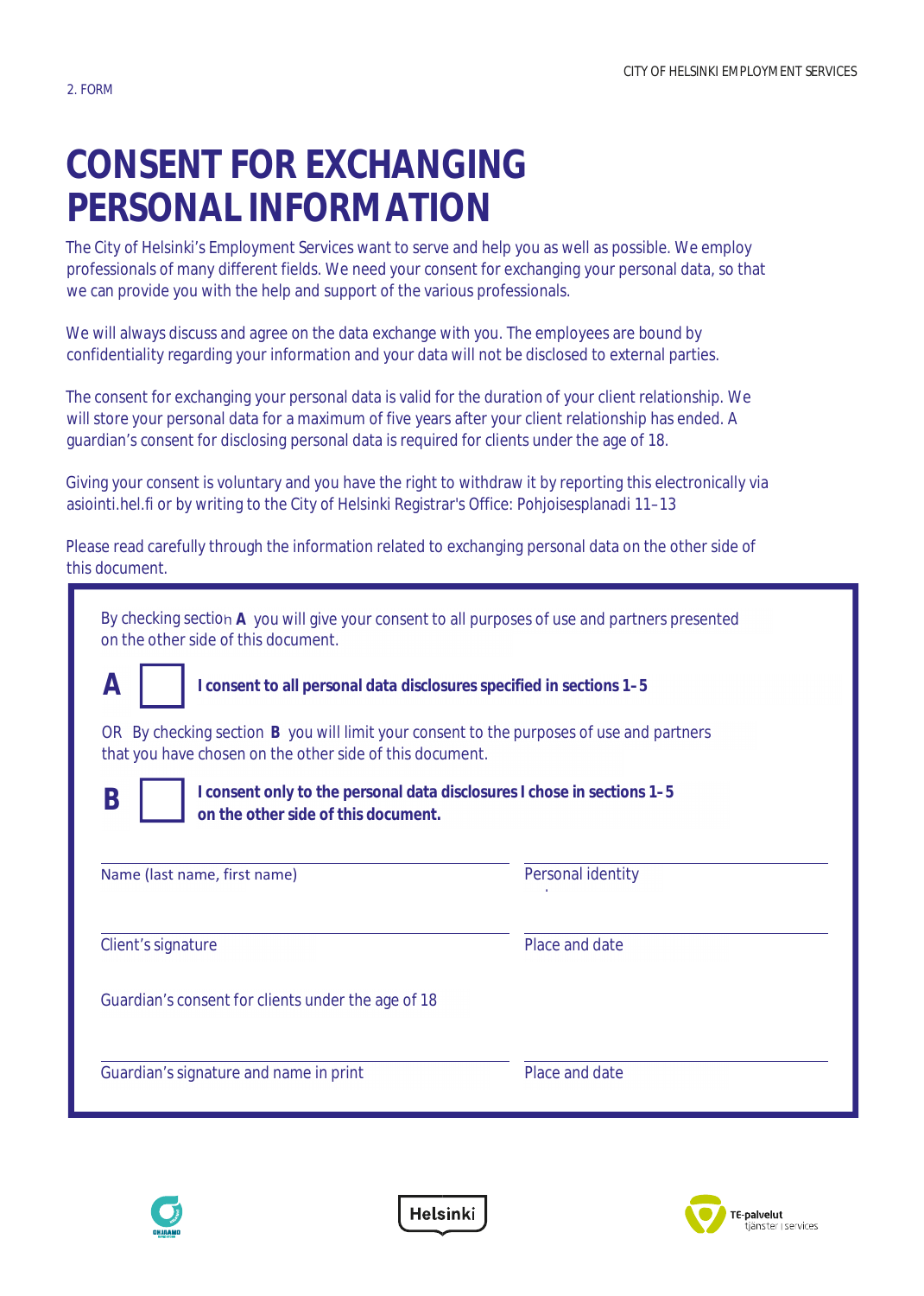# **CONSENT FOR EXCHANGING PERSONAL INFORMATION**

The City of Helsinki's Employment Services want to serve and help you as well as possible. We employ professionals of many different fields. We need your consent for exchanging your personal data, so that we can provide you with the help and support of the various professionals.

We will always discuss and agree on the data exchange with you. The employees are bound by confidentiality regarding your information and your data will not be disclosed to external parties.

The consent for exchanging your personal data is valid for the duration of your client relationship. We will store your personal data for a maximum of five years after your client relationship has ended. A guardian's consent for disclosing personal data is required for clients under the age of 18.

Giving your consent is voluntary and you have the right to withdraw it by reporting this electronically via asiointi.hel.fi or by writing to the City of Helsinki Registrar's Office: Pohjoisesplanadi 11–13

Please read carefully through the information related to exchanging personal data on the other side of this document.

| By checking section A you will give your consent to all purposes of use and partners presented<br>on the other side of this document.                          |                   |  |  |  |
|----------------------------------------------------------------------------------------------------------------------------------------------------------------|-------------------|--|--|--|
| А<br>I consent to all personal data disclosures specified in sections 1-5                                                                                      |                   |  |  |  |
| By checking section B you will limit your consent to the purposes of use and partners<br><b>OR</b><br>that you have chosen on the other side of this document. |                   |  |  |  |
| I consent only to the personal data disclosures I chose in sections 1-5<br>B<br>on the other side of this document.                                            |                   |  |  |  |
| Name (last name, first name)                                                                                                                                   | Personal identity |  |  |  |
| Client's signature                                                                                                                                             | Place and date    |  |  |  |
| Guardian's consent for clients under the age of 18                                                                                                             |                   |  |  |  |
| Guardian's signature and name in print                                                                                                                         | Place and date    |  |  |  |



Helsinki

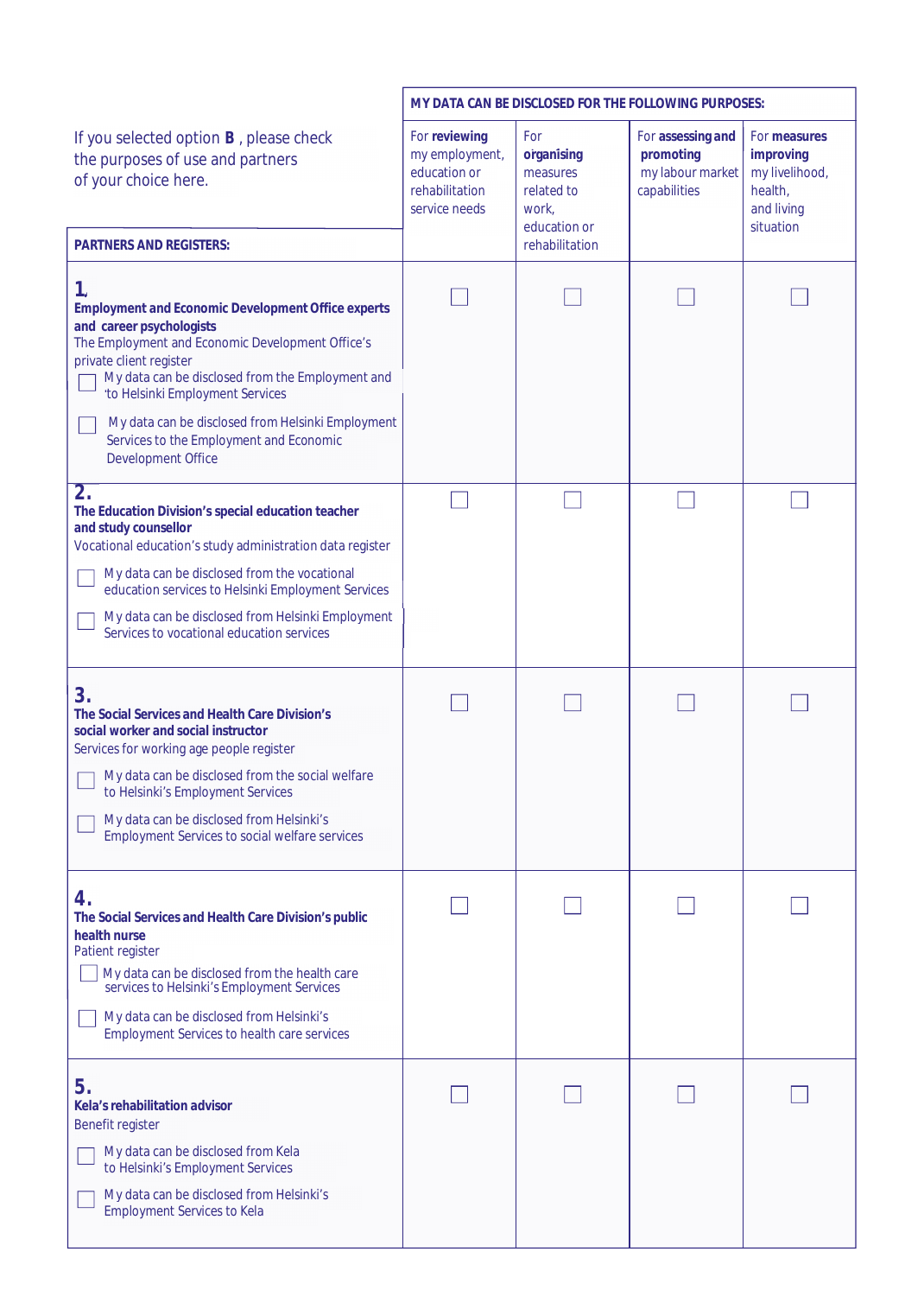|                                                                                                                                                                                                                                                                                                                                                                     | MY DATA CAN BE DISCLOSED FOR THE FOLLOWING PURPOSES:                               |                                                                      |                                                                    |                                                                                   |
|---------------------------------------------------------------------------------------------------------------------------------------------------------------------------------------------------------------------------------------------------------------------------------------------------------------------------------------------------------------------|------------------------------------------------------------------------------------|----------------------------------------------------------------------|--------------------------------------------------------------------|-----------------------------------------------------------------------------------|
| If you selected option B, please check<br>the purposes of use and partners<br>of your choice here.                                                                                                                                                                                                                                                                  | For reviewing<br>my employment,<br>education or<br>rehabilitation<br>service needs | For<br>organising<br>measures<br>related to<br>work,<br>education or | For assessing and<br>promoting<br>my labour market<br>capabilities | For measures<br>improving<br>my livelihood,<br>health,<br>and living<br>situation |
| <b>PARTNERS AND REGISTERS:</b>                                                                                                                                                                                                                                                                                                                                      |                                                                                    | rehabilitation                                                       |                                                                    |                                                                                   |
| 1.<br><b>Employment and Economic Development Office experts</b><br>and career psychologists<br>The Employment and Economic Development Office's<br>private client register<br>My data can be disclosed from the Employment and<br>to Helsinki Employment Services<br>My data can be disclosed from Helsinki Employment                                              |                                                                                    |                                                                      |                                                                    |                                                                                   |
| Services to the Employment and Economic<br><b>Development Office</b>                                                                                                                                                                                                                                                                                                |                                                                                    |                                                                      |                                                                    |                                                                                   |
| $\overline{2}$ .<br>The Education Division's special education teacher<br>and study counsellor<br>Vocational education's study administration data register<br>My data can be disclosed from the vocational<br>education services to Helsinki Employment Services<br>My data can be disclosed from Helsinki Employment<br>Services to vocational education services |                                                                                    |                                                                      |                                                                    |                                                                                   |
| 3.<br>The Social Services and Health Care Division's<br>social worker and social instructor<br>Services for working age people register<br>My data can be disclosed from the social welfare<br>to Helsinki's Employment Services<br>My data can be disclosed from Helsinki's<br><b>Employment Services to social welfare services</b>                               |                                                                                    |                                                                      |                                                                    |                                                                                   |
| 4.<br>The Social Services and Health Care Division's public<br>health nurse<br>Patient register<br>My data can be disclosed from the health care<br>services to Helsinki's Employment Services<br>My data can be disclosed from Helsinki's<br><b>Employment Services to health care services</b>                                                                    |                                                                                    |                                                                      |                                                                    |                                                                                   |
| 5.<br>Kela's rehabilitation advisor<br>Benefit register<br>My data can be disclosed from Kela<br>to Helsinki's Employment Services<br>My data can be disclosed from Helsinki's<br><b>Employment Services to Kela</b>                                                                                                                                                |                                                                                    |                                                                      |                                                                    |                                                                                   |